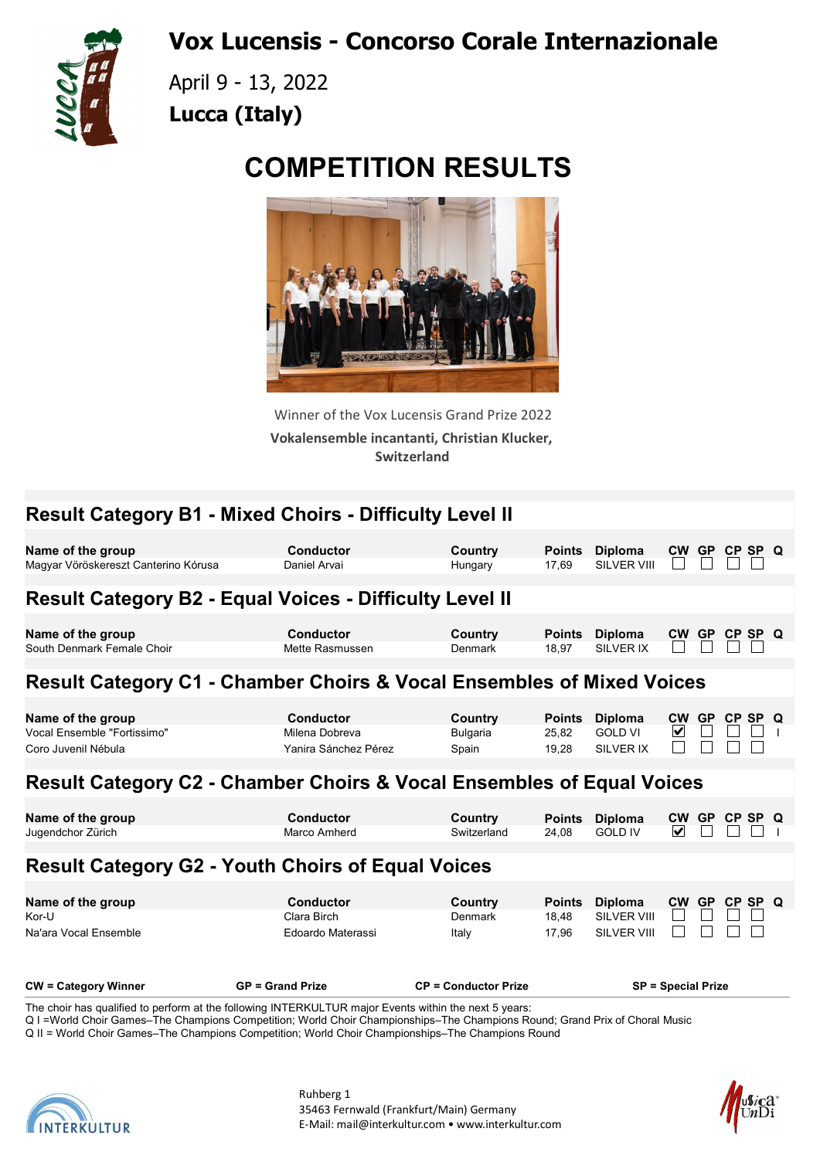Vox Lucensis - Concorso Corale Internazionale



April 9 - 13, 2022 Lucca (Italy)

## COMPETITION RESULTS



Winner of the Vox Lucensis Grand Prize 2022 Vokalensemble incantanti, Christian Klucker, Switzerland

| <b>Result Category B1 - Mixed Choirs - Difficulty Level II</b>                                                                       |                                                            |                                     |                                 |                                                            |                           |           |               |  |
|--------------------------------------------------------------------------------------------------------------------------------------|------------------------------------------------------------|-------------------------------------|---------------------------------|------------------------------------------------------------|---------------------------|-----------|---------------|--|
| Name of the group<br>Magyar Vöröskereszt Canterino Kórusa                                                                            | <b>Conductor</b><br>Daniel Arvai                           | Country<br>Hungary                  | <b>Points</b><br>17,69          | <b>Diploma</b><br><b>SILVER VIII</b>                       |                           |           | CW GP CP SP Q |  |
| <b>Result Category B2 - Equal Voices - Difficulty Level II</b>                                                                       |                                                            |                                     |                                 |                                                            |                           |           |               |  |
| Name of the group<br>South Denmark Female Choir                                                                                      | <b>Conductor</b><br>Mette Rasmussen                        | Country<br><b>Denmark</b>           | <b>Points</b><br>18,97          | <b>Diploma</b><br><b>SILVER IX</b>                         |                           |           | CW GP CP SP Q |  |
| <b>Result Category C1 - Chamber Choirs &amp; Vocal Ensembles of Mixed Voices</b>                                                     |                                                            |                                     |                                 |                                                            |                           |           |               |  |
| Name of the group<br>Vocal Ensemble "Fortissimo"<br>Coro Juvenil Nébula                                                              | <b>Conductor</b><br>Milena Dobreva<br>Yanira Sánchez Pérez | Country<br><b>Bulgaria</b><br>Spain | <b>Points</b><br>25,82<br>19,28 | <b>Diploma</b><br><b>GOLD VI</b><br><b>SILVER IX</b>       | CW GP<br>⊻                |           | CP SP Q       |  |
| <b>Result Category C2 - Chamber Choirs &amp; Vocal Ensembles of Equal Voices</b>                                                     |                                                            |                                     |                                 |                                                            |                           |           |               |  |
| Name of the group<br>Jugendchor Zürich                                                                                               | <b>Conductor</b><br>Marco Amherd                           | Country<br>Switzerland              | <b>Points</b><br>24.08          | <b>Diploma</b><br><b>GOLD IV</b>                           | CW GP<br>M                |           | CP SP Q       |  |
| <b>Result Category G2 - Youth Choirs of Equal Voices</b>                                                                             |                                                            |                                     |                                 |                                                            |                           |           |               |  |
| Name of the group<br>Kor-U<br>Na'ara Vocal Ensemble                                                                                  | Conductor<br>Clara Birch<br>Edoardo Materassi              | Country<br>Denmark<br>Italy         | <b>Points</b><br>18,48<br>17,96 | <b>Diploma</b><br><b>SILVER VIII</b><br><b>SILVER VIII</b> | <b>CW</b>                 | <b>GP</b> | CP SP Q       |  |
| <b>CW</b> = Category Winner<br>The choir has qualified to perform at the following INTERKULTUR major Events within the next 5 years: | <b>GP = Grand Prize</b>                                    | <b>CP = Conductor Prize</b>         |                                 |                                                            | <b>SP = Special Prize</b> |           |               |  |

Q I = World Choir Games–The Champions Competition; World Choir Championships–The Champions Round; Grand Prix of Choral Music

Q II = World Choir Games–The Champions Competition; World Choir Championships–The Champions Round